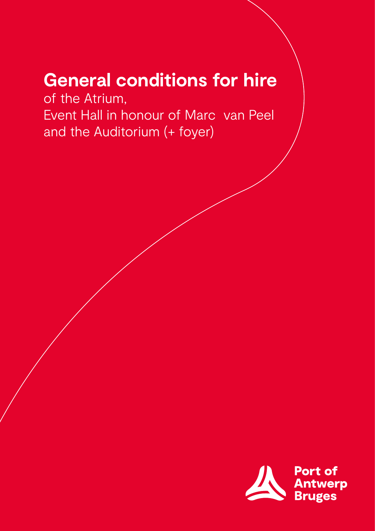# **General conditions for hire**

of the Atrium, Event Hall in honour of Marc van Peel and the Auditorium (+ foyer)

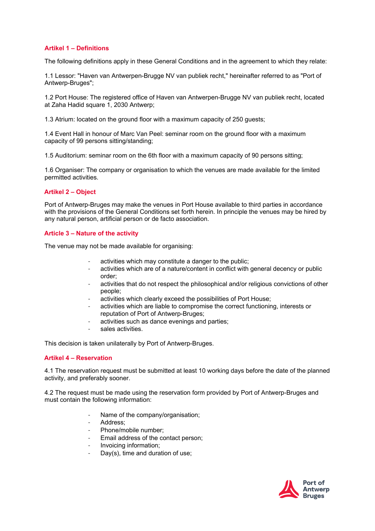## **Artikel 1 – Definitions**

The following definitions apply in these General Conditions and in the agreement to which they relate:

1.1 Lessor: "Haven van Antwerpen-Brugge NV van publiek recht," hereinafter referred to as "Port of Antwerp-Bruges";

1.2 Port House: The registered office of Haven van Antwerpen-Brugge NV van publiek recht, located at Zaha Hadid square 1, 2030 Antwerp;

1.3 Atrium: located on the ground floor with a maximum capacity of 250 guests;

1.4 Event Hall in honour of Marc Van Peel: seminar room on the ground floor with a maximum capacity of 99 persons sitting/standing;

1.5 Auditorium: seminar room on the 6th floor with a maximum capacity of 90 persons sitting;

1.6 Organiser: The company or organisation to which the venues are made available for the limited permitted activities.

## **Artikel 2 – Object**

Port of Antwerp-Bruges may make the venues in Port House available to third parties in accordance with the provisions of the General Conditions set forth herein. In principle the venues may be hired by any natural person, artificial person or de facto association.

#### **Article 3 – Nature of the activity**

The venue may not be made available for organising:

- activities which may constitute a danger to the public;
- activities which are of a nature/content in conflict with general decency or public order;
- activities that do not respect the philosophical and/or religious convictions of other people;
- activities which clearly exceed the possibilities of Port House;
- activities which are liable to compromise the correct functioning, interests or reputation of Port of Antwerp-Bruges;
- activities such as dance evenings and parties;
- sales activities.

This decision is taken unilaterally by Port of Antwerp-Bruges.

## **Artikel 4 – Reservation**

4.1 The reservation request must be submitted at least 10 working days before the date of the planned activity, and preferably sooner.

4.2 The request must be made using the reservation form provided by Port of Antwerp-Bruges and must contain the following information:

- Name of the company/organisation;
- Address:
- Phone/mobile number:
- Email address of the contact person;
- Invoicing information;
- Day(s), time and duration of use;

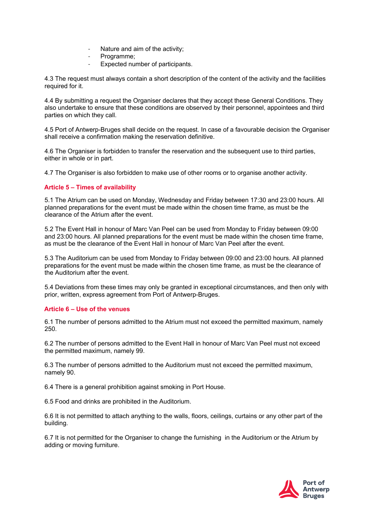- Nature and aim of the activity;
- Programme;
- Expected number of participants.

4.3 The request must always contain a short description of the content of the activity and the facilities required for it.

4.4 By submitting a request the Organiser declares that they accept these General Conditions. They also undertake to ensure that these conditions are observed by their personnel, appointees and third parties on which they call.

4.5 Port of Antwerp-Bruges shall decide on the request. In case of a favourable decision the Organiser shall receive a confirmation making the reservation definitive.

4.6 The Organiser is forbidden to transfer the reservation and the subsequent use to third parties, either in whole or in part.

4.7 The Organiser is also forbidden to make use of other rooms or to organise another activity.

## **Article 5 – Times of availability**

5.1 The Atrium can be used on Monday, Wednesday and Friday between 17:30 and 23:00 hours. All planned preparations for the event must be made within the chosen time frame, as must be the clearance of the Atrium after the event.

5.2 The Event Hall in honour of Marc Van Peel can be used from Monday to Friday between 09:00 and 23:00 hours. All planned preparations for the event must be made within the chosen time frame, as must be the clearance of the Event Hall in honour of Marc Van Peel after the event.

5.3 The Auditorium can be used from Monday to Friday between 09:00 and 23:00 hours. All planned preparations for the event must be made within the chosen time frame, as must be the clearance of the Auditorium after the event.

5.4 Deviations from these times may only be granted in exceptional circumstances, and then only with prior, written, express agreement from Port of Antwerp-Bruges.

# **Article 6 – Use of the venues**

6.1 The number of persons admitted to the Atrium must not exceed the permitted maximum, namely 250.

6.2 The number of persons admitted to the Event Hall in honour of Marc Van Peel must not exceed the permitted maximum, namely 99.

6.3 The number of persons admitted to the Auditorium must not exceed the permitted maximum, namely 90.

6.4 There is a general prohibition against smoking in Port House.

6.5 Food and drinks are prohibited in the Auditorium.

6.6 It is not permitted to attach anything to the walls, floors, ceilings, curtains or any other part of the building.

6.7 It is not permitted for the Organiser to change the furnishing in the Auditorium or the Atrium by adding or moving furniture.

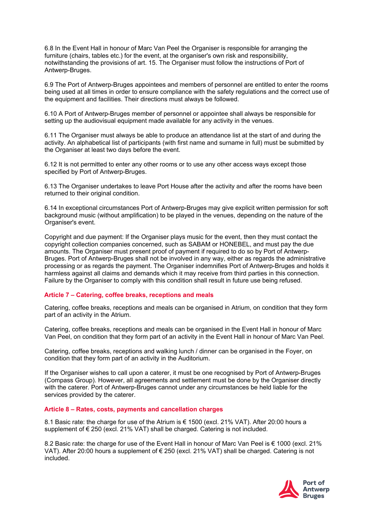6.8 In the Event Hall in honour of Marc Van Peel the Organiser is responsible for arranging the furniture (chairs, tables etc.) for the event, at the organiser's own risk and responsibility, notwithstanding the provisions of art. 15. The Organiser must follow the instructions of Port of Antwerp-Bruges.

6.9 The Port of Antwerp-Bruges appointees and members of personnel are entitled to enter the rooms being used at all times in order to ensure compliance with the safety regulations and the correct use of the equipment and facilities. Their directions must always be followed.

6.10 A Port of Antwerp-Bruges member of personnel or appointee shall always be responsible for setting up the audiovisual equipment made available for any activity in the venues.

6.11 The Organiser must always be able to produce an attendance list at the start of and during the activity. An alphabetical list of participants (with first name and surname in full) must be submitted by the Organiser at least two days before the event.

6.12 It is not permitted to enter any other rooms or to use any other access ways except those specified by Port of Antwerp-Bruges.

6.13 The Organiser undertakes to leave Port House after the activity and after the rooms have been returned to their original condition.

6.14 In exceptional circumstances Port of Antwerp-Bruges may give explicit written permission for soft background music (without amplification) to be played in the venues, depending on the nature of the Organiser's event.

Copyright and due payment: If the Organiser plays music for the event, then they must contact the copyright collection companies concerned, such as SABAM or HONEBEL, and must pay the due amounts. The Organiser must present proof of payment if required to do so by Port of Antwerp-Bruges. Port of Antwerp-Bruges shall not be involved in any way, either as regards the administrative processing or as regards the payment. The Organiser indemnifies Port of Antwerp-Bruges and holds it harmless against all claims and demands which it may receive from third parties in this connection. Failure by the Organiser to comply with this condition shall result in future use being refused.

#### **Article 7 – Catering, coffee breaks, receptions and meals**

Catering, coffee breaks, receptions and meals can be organised in Atrium, on condition that they form part of an activity in the Atrium.

Catering, coffee breaks, receptions and meals can be organised in the Event Hall in honour of Marc Van Peel, on condition that they form part of an activity in the Event Hall in honour of Marc Van Peel.

Catering, coffee breaks, receptions and walking lunch / dinner can be organised in the Foyer, on condition that they form part of an activity in the Auditorium.

If the Organiser wishes to call upon a caterer, it must be one recognised by Port of Antwerp-Bruges (Compass Group). However, all agreements and settlement must be done by the Organiser directly with the caterer. Port of Antwerp-Bruges cannot under any circumstances be held liable for the services provided by the caterer.

#### **Article 8 – Rates, costs, payments and cancellation charges**

8.1 Basic rate: the charge for use of the Atrium is € 1500 (excl. 21% VAT). After 20:00 hours a supplement of €250 (excl. 21% VAT) shall be charged. Catering is not included.

8.2 Basic rate: the charge for use of the Event Hall in honour of Marc Van Peel is € 1000 (excl. 21% VAT). After 20:00 hours a supplement of € 250 (excl. 21% VAT) shall be charged. Catering is not included.

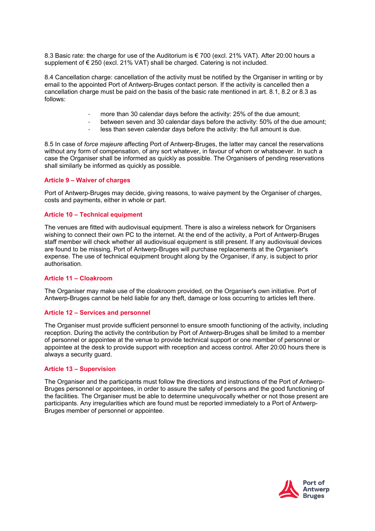8.3 Basic rate: the charge for use of the Auditorium is € 700 (excl. 21% VAT). After 20:00 hours a supplement of € 250 (excl. 21% VAT) shall be charged. Catering is not included.

8.4 Cancellation charge: cancellation of the activity must be notified by the Organiser in writing or by email to the appointed Port of Antwerp-Bruges contact person. If the activity is cancelled then a cancellation charge must be paid on the basis of the basic rate mentioned in art. 8.1, 8.2 or 8.3 as follows:

- more than 30 calendar days before the activity: 25% of the due amount;<br>- between seven and 30 calendar days before the activity: 50% of the due
- between seven and 30 calendar days before the activity: 50% of the due amount;
- less than seven calendar days before the activity: the full amount is due.

8.5 In case of *force majeure* affecting Port of Antwerp-Bruges, the latter may cancel the reservations without any form of compensation, of any sort whatever, in favour of whom or whatsoever. In such a case the Organiser shall be informed as quickly as possible. The Organisers of pending reservations shall similarly be informed as quickly as possible.

#### **Article 9 – Waiver of charges**

Port of Antwerp-Bruges may decide, giving reasons, to waive payment by the Organiser of charges, costs and payments, either in whole or part.

#### **Article 10 – Technical equipment**

The venues are fitted with audiovisual equipment. There is also a wireless network for Organisers wishing to connect their own PC to the internet. At the end of the activity, a Port of Antwerp-Bruges staff member will check whether all audiovisual equipment is still present. If any audiovisual devices are found to be missing, Port of Antwerp-Bruges will purchase replacements at the Organiser's expense. The use of technical equipment brought along by the Organiser, if any, is subject to prior authorisation.

#### **Article 11 – Cloakroom**

The Organiser may make use of the cloakroom provided, on the Organiser's own initiative. Port of Antwerp-Bruges cannot be held liable for any theft, damage or loss occurring to articles left there.

#### **Article 12 – Services and personnel**

The Organiser must provide sufficient personnel to ensure smooth functioning of the activity, including reception. During the activity the contribution by Port of Antwerp-Bruges shall be limited to a member of personnel or appointee at the venue to provide technical support or one member of personnel or appointee at the desk to provide support with reception and access control. After 20:00 hours there is always a security guard.

### **Article 13 – Supervision**

The Organiser and the participants must follow the directions and instructions of the Port of Antwerp-Bruges personnel or appointees, in order to assure the safety of persons and the good functioning of the facilities. The Organiser must be able to determine unequivocally whether or not those present are participants. Any irregularities which are found must be reported immediately to a Port of Antwerp-Bruges member of personnel or appointee.